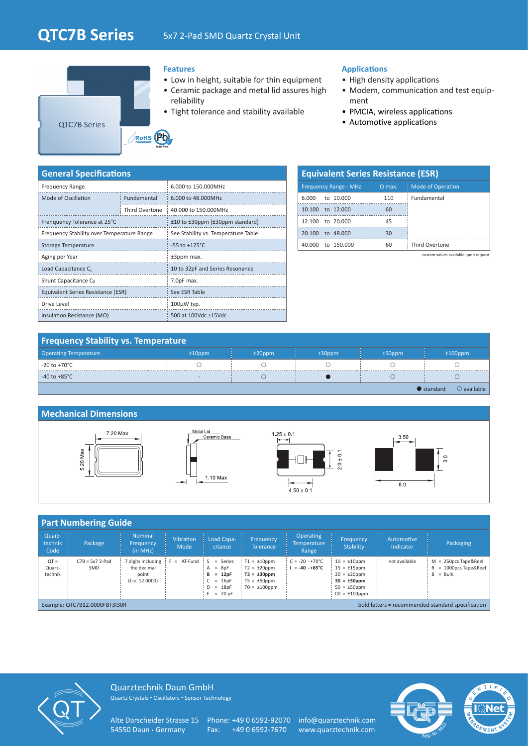# **QTC7B Series** 5x7 2-Pad SMD Quartz Crystal Unit



#### **Features**

- Low in height, suitable for thin equipment
- Ceramic package and metal lid assures high reliability
- Tight tolerance and stability available

#### **Applications**

- High density applications
- Modem, communication and test equipment
- PMCIA, wireless applications
- Automotive applications

| <b>General Specifications</b>              |                |                                     |  |  |  |  |  |
|--------------------------------------------|----------------|-------------------------------------|--|--|--|--|--|
| <b>Frequency Range</b>                     |                | 6.000 to 150.000MHz                 |  |  |  |  |  |
| Mode of Oscillation                        | Fundamental    | 6.000 to 48.000MHz                  |  |  |  |  |  |
|                                            | Third Overtone | 40,000 to 150,000MHz                |  |  |  |  |  |
| Frenquency Tolerance at 25°C               |                | ±10 to ±30ppm (±30ppm standard)     |  |  |  |  |  |
| Frequency Stability over Temperature Range |                | See Stability vs. Temperature Table |  |  |  |  |  |
| Storage Temperature                        |                | $-55$ to $+125^{\circ}$ C           |  |  |  |  |  |
| Aging per Year                             |                | ±3ppm max.                          |  |  |  |  |  |
| Load Capacitance C <sub>L</sub>            |                | 10 to 32pF and Series Resonance     |  |  |  |  |  |
| Shunt Capacitance C <sub>0</sub>           |                | 7.0pF max.                          |  |  |  |  |  |
| Equivalent Series Resistance (ESR)         |                | See ESR Table                       |  |  |  |  |  |
| Drive Level                                |                | 100µW typ.                          |  |  |  |  |  |
| Insulation Resistance ( $M\Omega$ )        |                | 500 at 100Vdc ±15Vdc                |  |  |  |  |  |

| <b>Equivalent Series Resistance (ESR)</b> |          |                          |  |  |  |  |  |  |
|-------------------------------------------|----------|--------------------------|--|--|--|--|--|--|
| <b>Frequency Range - MHz</b>              | $Q$ max. | <b>Mode of Operation</b> |  |  |  |  |  |  |
| to 10,000<br>6.000                        | 110      | Fundamental              |  |  |  |  |  |  |
| 10.100 to 12,000                          | 60       |                          |  |  |  |  |  |  |
| 12.100 to 20.000                          | 45       |                          |  |  |  |  |  |  |
| to 48,000<br>20.100                       | 30       |                          |  |  |  |  |  |  |
| 40,000 to 150,000                         | 60       | <b>Third Overtone</b>    |  |  |  |  |  |  |

custom values available upon request

| <b>Operating Temperature</b> | $±10$ ppm                | $±20$ ppm | $±30$ ppm | $±50$ ppm | $±100$ ppm                                 |
|------------------------------|--------------------------|-----------|-----------|-----------|--------------------------------------------|
| -20 to +70°C                 |                          |           |           |           |                                            |
| -40 to +85 $^{\circ}$ C      | $\overline{\phantom{a}}$ |           |           |           |                                            |
|                              |                          |           |           |           | $\bigcirc$ available<br>$\bullet$ standard |

### **Mechanical Dimensions**

**Frequency Stability vs. Temperature**



| <b>Part Numbering Guide</b>                                                        |                          |                                                               |                          |                                                                                   |                                                                                                     |                                                    |                                                                                                                             |                         |                                                                |  |
|------------------------------------------------------------------------------------|--------------------------|---------------------------------------------------------------|--------------------------|-----------------------------------------------------------------------------------|-----------------------------------------------------------------------------------------------------|----------------------------------------------------|-----------------------------------------------------------------------------------------------------------------------------|-------------------------|----------------------------------------------------------------|--|
| Quarz-<br>technik<br>Code                                                          | Package                  | <b>Nominal</b><br>Frequency<br>(in MHz)                       | <b>Vibration</b><br>Mode | Load Capa-<br>citance                                                             | <b>Frequency</b><br><b>Tolerance</b>                                                                | <b>Operating</b><br><b>Temperature</b><br>Range    | Frequency<br>Stability                                                                                                      | Automotive<br>Indicator | Packaging                                                      |  |
| $QT =$<br>Quarz-<br>technik                                                        | $C7B = 5x7$ 2-Pad<br>SMD | 7 digits including<br>the decimal<br>point<br>(f.ie. 12.0000) | $= AT-Fund$              | $=$ Series<br>$=$ 8pF<br>$= 12pF$<br>в<br>$C = 16pF$<br>$D = 18pF$<br>$E = 20$ pF | $T1 = \pm 10$ ppm<br>$T2 = \pm 20$ ppm<br>$T3 = \pm 30$ ppm<br>$T5 = \pm 50$ ppm<br>$TO = ±100$ ppm | $C = -20 - +70^{\circ}C$<br>$= -40 - +85^{\circ}C$ | $10 = \pm 10$ ppm<br>$15 = \pm 15$ ppm<br>$20 = \pm 20$ ppm<br>$30 = \pm 30$ ppm<br>$50 = \pm 50$ ppm<br>$00 = \pm 100$ ppm | not available           | $M = 250DCS$ Tape&Reel<br>= 1000pcs Tape&Reel<br>$=$ Bulk<br>B |  |
| Example: QTC7B12.0000FBT3I30R<br>bold letters = recommended standard specification |                          |                                                               |                          |                                                                                   |                                                                                                     |                                                    |                                                                                                                             |                         |                                                                |  |



Quarztechnik Daun GmbH Quartz Crystals • Oscillators • Sensor Technology

Alte Darscheider Strasse 15 Phone: +49 0 6592-92070 info@quarztechnik.com<br>54550 Daun · Germany Fax: +49 0 6592-7670 www.quarztechnik.com

Fax: +49 0 6592-7670 www.quarztechnik.com